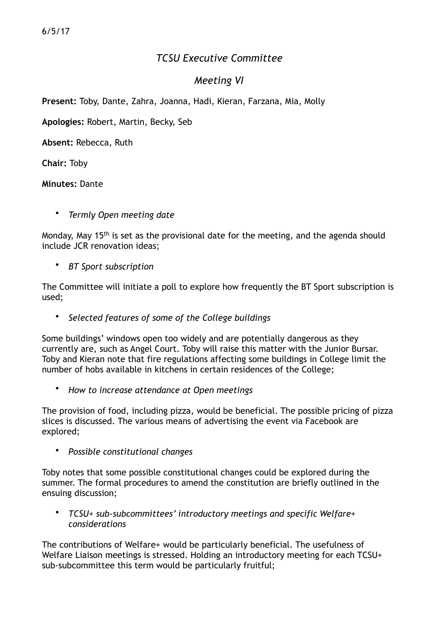## *TCSU Executive Committee*

## *Meeting VI*

**Present:** Toby, Dante, Zahra, Joanna, Hadi, Kieran, Farzana, Mia, Molly

**Apologies:** Robert, Martin, Becky, Seb

**Absent:** Rebecca, Ruth

**Chair:** Toby

**Minutes:** Dante

• *Termly Open meeting date* 

Monday, May 15th is set as the provisional date for the meeting, and the agenda should include JCR renovation ideas;

• *BT Sport subscription*

The Committee will initiate a poll to explore how frequently the BT Sport subscription is used;

• *Selected features of some of the College buildings* 

Some buildings' windows open too widely and are potentially dangerous as they currently are, such as Angel Court. Toby will raise this matter with the Junior Bursar. Toby and Kieran note that fire regulations affecting some buildings in College limit the number of hobs available in kitchens in certain residences of the College;

• *How to increase attendance at Open meetings* 

The provision of food, including pizza, would be beneficial. The possible pricing of pizza slices is discussed. The various means of advertising the event via Facebook are explored;

• *Possible constitutional changes* 

Toby notes that some possible constitutional changes could be explored during the summer. The formal procedures to amend the constitution are briefly outlined in the ensuing discussion;

• *TCSU+ sub-subcommittees' introductory meetings and specific Welfare+ considerations* 

The contributions of Welfare+ would be particularly beneficial. The usefulness of Welfare Liaison meetings is stressed. Holding an introductory meeting for each TCSU+ sub-subcommittee this term would be particularly fruitful;